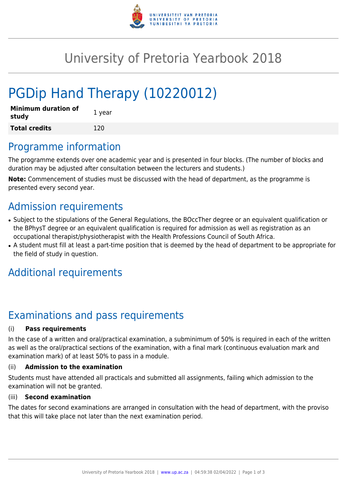

## University of Pretoria Yearbook 2018

# PGDip Hand Therapy (10220012)

| <b>Minimum duration of</b><br>study | 1 year |
|-------------------------------------|--------|
| <b>Total credits</b>                | 120    |

### Programme information

The programme extends over one academic year and is presented in four blocks. (The number of blocks and duration may be adjusted after consultation between the lecturers and students.)

**Note:** Commencement of studies must be discussed with the head of department, as the programme is presented every second year.

## Admission requirements

- Subject to the stipulations of the General Regulations, the BOccTher degree or an equivalent qualification or the BPhysT degree or an equivalent qualification is required for admission as well as registration as an occupational therapist/physiotherapist with the Health Professions Council of South Africa.
- A student must fill at least a part-time position that is deemed by the head of department to be appropriate for the field of study in question.

### Additional requirements

## Examinations and pass requirements

#### (i) **Pass requirements**

In the case of a written and oral/practical examination, a subminimum of 50% is required in each of the written as well as the oral/practical sections of the examination, with a final mark (continuous evaluation mark and examination mark) of at least 50% to pass in a module.

#### (ii) **Admission to the examination**

Students must have attended all practicals and submitted all assignments, failing which admission to the examination will not be granted.

#### (iii) **Second examination**

The dates for second examinations are arranged in consultation with the head of department, with the proviso that this will take place not later than the next examination period.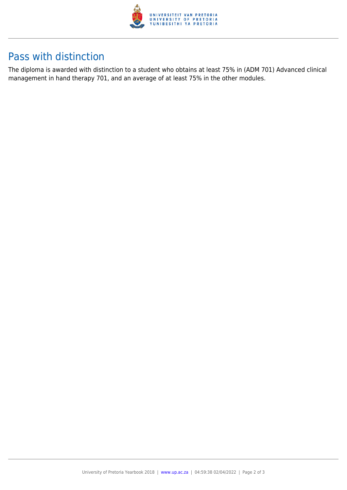

### Pass with distinction

The diploma is awarded with distinction to a student who obtains at least 75% in (ADM 701) Advanced clinical management in hand therapy 701, and an average of at least 75% in the other modules.